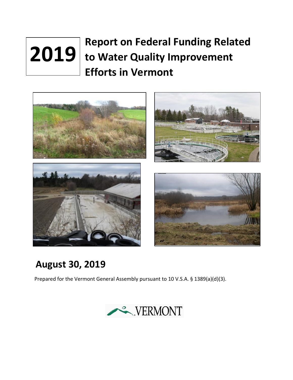# **Report on Federal Funding Related to Water Quality Improvement 2019Efforts in Vermont**



## **August 30, 2019**

Prepared for the Vermont General Assembly pursuant to 10 V.S.A. § 1389(a)(d)(3).

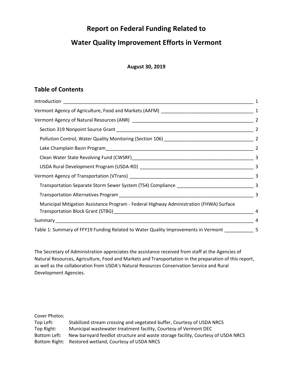## **Report on Federal Funding Related to**

## **Water Quality Improvement Efforts in Vermont**

#### **August 30, 2019**

## **Table of Contents**

| Municipal Mitigation Assistance Program - Federal Highway Administration (FHWA) Surface           |   |
|---------------------------------------------------------------------------------------------------|---|
|                                                                                                   | 4 |
|                                                                                                   |   |
| Table 1: Summary of FFY19 Funding Related to Water Quality Improvements in Vermont ____________ 5 |   |

The Secretary of Administration appreciates the assistance received from staff at the Agencies of Natural Resources, Agriculture, Food and Markets and Transportation in the preparation of this report, as well as the collaboration from USDA's Natural Resources Conservation Service and Rural Development Agencies.

Cover Photos:

| Top Left:    | Stabilized stream crossing and vegetated buffer, Courtesy of USDA NRCS           |
|--------------|----------------------------------------------------------------------------------|
| Top Right:   | Municipal wastewater treatment facility, Courtesy of Vermont DEC                 |
| Bottom Left: | New barnyard feedlot structure and waste storage facility, Courtesy of USDA NRCS |
|              | Bottom Right: Restored wetland, Courtesy of USDA NRCS                            |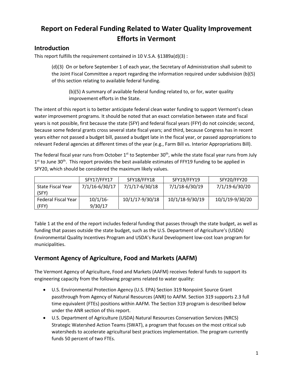## **Report on Federal Funding Related to Water Quality Improvement Efforts in Vermont**

## <span id="page-2-0"></span>**Introduction**

This report fulfills the requirement contained in 10 V.S.A. §1389a(d)(3) :

(d)(3) On or before September 1 of each year, the Secretary of Administration shall submit to the Joint Fiscal Committee a report regarding the information required under subdivision (b)(5) of this section relating to available federal funding.

(b)(5) A summary of available federal funding related to, or for, water quality improvement efforts in the State.

The intent of this report is to better anticipate federal clean water funding to support Vermont's clean water improvement programs. It should be noted that an exact correlation between state and fiscal years is not possible, first because the state (SFY) and federal fiscal years (FFY) do not coincide; second, because some federal grants cross several state fiscal years; and third, because Congress has in recent years either not passed a budget bill, passed a budget late in the fiscal year, or passed appropriations to relevant Federal agencies at different times of the year (e.g., Farm Bill vs. Interior Appropriations Bill).

The federal fiscal year runs from October 1<sup>st</sup> to September 30<sup>th</sup>, while the state fiscal year runs from July  $1<sup>st</sup>$  to June 30<sup>th</sup>. This report provides the best available estimates of FFY19 funding to be applied in SFY20, which should be considered the maximum likely values.

|                          | SFY17/FFY17    | SFY18/FFY18     | SFY19/FFY19     | SFY20/FFY20     |
|--------------------------|----------------|-----------------|-----------------|-----------------|
| <b>State Fiscal Year</b> | 7/1/16-6/30/17 | 7/1/17-6/30/18  | 7/1/18-6/30/19  | 7/1/19-6/30/20  |
| (SFY)                    |                |                 |                 |                 |
| Federal Fiscal Year      | $10/1/16$ -    | 10/1/17-9/30/18 | 10/1/18-9/30/19 | 10/1/19-9/30/20 |
| (FFY)                    | 9/30/17        |                 |                 |                 |

Table 1 at the end of the report includes federal funding that passes through the state budget, as well as funding that passes outside the state budget, such as the U.S. Department of Agriculture's (USDA) Environmental Quality Incentives Program and USDA's Rural Development low-cost loan program for municipalities.

## <span id="page-2-1"></span>**Vermont Agency of Agriculture, Food and Markets (AAFM)**

The Vermont Agency of Agriculture, Food and Markets (AAFM) receives federal funds to support its engineering capacity from the following programs related to water quality:

- U.S. Environmental Protection Agency (U.S. EPA) Section 319 Nonpoint Source Grant passthrough from Agency of Natural Resources (ANR) to AAFM. Section 319 supports 2.3 full time equivalent (FTEs) positions within AAFM. The Section 319 program is described below under the ANR section of this report.
- U.S. Department of Agriculture (USDA) Natural Resources Conservation Services (NRCS) Strategic Watershed Action Teams (SWAT), a program that focuses on the most critical sub watersheds to accelerate agricultural best practices implementation. The program currently funds 50 percent of two FTEs.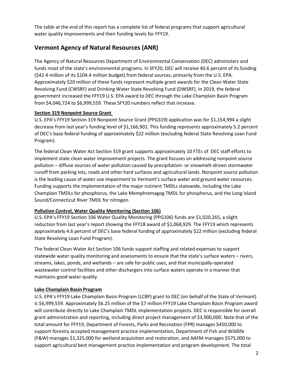The table at the end of this report has a complete list of federal programs that support agricultural water quality improvements and their funding levels for FFY19.

## <span id="page-3-0"></span>**Vermont Agency of Natural Resources (ANR)**

The Agency of Natural Resources Department of Environmental Conservation (DEC) administers and funds most of the state's environmental programs. In SFY20, DEC will receive 40.6 percent of its funding (\$42.4 million of its \$104.4 million budget) from federal sources, primarily from the U.S. EPA. Approximately \$20 million of these funds represent multiple grant awards for the Clean Water State Revolving Fund (CWSRF) and Drinking Water State Revolving Fund (DWSRF). In 2019, the federal government increased the FFY19 U.S. EPA award to DEC through the Lake Champlain Basin Program from \$4,046,724 to \$6,999,559. These SFY20 numbers reflect that increase.

#### <span id="page-3-1"></span>**Section 319 Nonpoint Source Grant**

U.S. EPA's FFY19 Section 319 Nonpoint Source Grant (PPG319) application was for \$1,154,994 a slight decrease from last year's funding level of \$1,166,901. This funding represents approximately 5.2 percent of DEC's base federal funding of approximately \$22 million (excluding federal State Revolving Loan Fund Program).

The federal Clean Water Act Section 319 grant supports approximately 10 FTEs of DEC staff efforts to implement state clean water improvement projects. The grant focuses on addressing nonpoint source pollution – diffuse sources of water pollution caused by precipitation- or snowmelt-driven stormwater runoff from parking lots, roads and other hard surfaces and agricultural lands. Nonpoint source pollution is the leading cause of water use impairment to Vermont's surface water and ground water resources. Funding supports the implementation of the major nutrient TMDLs statewide, including the Lake Champlain TMDLs for phosphorus, the Lake Memphremagog TMDL for phosphorus, and the Long Island Sound/Connecticut River TMDL for nitrogen.

#### <span id="page-3-2"></span>**Pollution Control, Water Quality Monitoring (Section 106)**

U.S. EPA's FFY19 Section 106 Water Quality Monitoring (PPG106) funds are \$1,020,265, a slight reduction from last year's report showing the FFY18 award of \$1,068,929. The FFY19 which represents approximately 4.6 percent of DEC's base federal funding of approximately \$22 million (excluding federal State Revolving Loan Fund Program).

The federal Clean Water Act Section 106 funds support staffing and related expenses to support statewide water quality monitoring and assessments to ensure that the state's surface waters – rivers, streams, lakes, ponds, and wetlands – are safe for public uses, and that municipally-operated wastewater control facilities and other dischargers into surface waters operate in a manner that maintains good water quality.

#### <span id="page-3-3"></span>**Lake Champlain Basin Program**

U.S. EPA's FFY19 Lake Champlain Basin Program (LCBP) grant to DEC (on behalf of the State of Vermont) is \$6,999,559. Approximately \$6.25 million of the \$7 million FFY19 Lake Champlain Basin Program award will contribute directly to Lake Champlain TMDL implementation projects. DEC is responsible for overall grant administration and reporting, including direct project management of \$3,900,000. Note that of the total amount for FFY19, Department of Forests, Parks and Recreation (FPR) manages \$450,000 to support forestry accepted management practice implementation, Department of Fish and Wildlife (F&W) manages \$1,325,000 for wetland acquisition and restoration, and AAFM manages \$575,000 to support agricultural best management practice implementation and program development. The total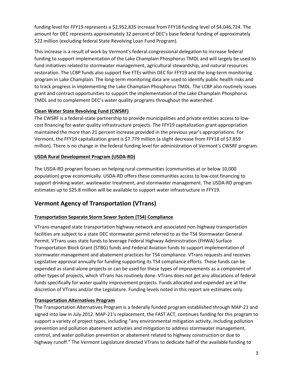funding level for FFY19 represents a \$2,952,835 increase from FFY18 funding level of \$4,046,724. The amount for DEC represents approximately 32 percent of DEC's base federal funding of approximately \$22 million (excluding federal State Revolving Loan Fund Program).

This increase is a result of work by Vermont's federal congressional delegation to increase federal funding to support implementation of the Lake Champlain Phosphorus TMDL and will largely be used to fund initiatives related to stormwater management, agricultural stewardship, and natural resources restoration. The LCBP funds also support five FTEs within DEC for FFY19 and the long-term monitoring program in Lake Champlain. The long-term monitoring data are used to identify public health risks and to track progress in implementing the Lake Champlain Phosphorus TMDL. The LCBP also routinely issues grant and contract opportunities to support the implementation of the Lake Champlain Phosphorus TMDL and to complement DEC's water quality programs throughout the watershed.

#### <span id="page-4-0"></span>**Clean Water State Revolving Fund (CWSRF)**

The CWSRF is a federal-state partnership to provide municipalities and private entities access to lowcost financing for water quality infrastructure projects. The FFY19 capitalization grant appropriation maintained the more than 21 percent increase provided in the previous year's appropriations. For Vermont, the FFY19 capitalization grant is \$7.779 million (a slight decrease from FFY18 of \$7.859 million). There is no change in the federal funding level for administration of Vermont's CWSRF program.

#### <span id="page-4-1"></span>**USDA Rural Development Program (USDA-RD)**

The USDA-RD program focuses on helping rural communities (communities at or below 10,000 population) grow economically. USDA-RD offers these communities access to low-cost financing to support drinking water, wastewater treatment, and stormwater management. The USDA-RD program estimates up to \$25.8 million will be available to support water infrastructure in FFY19.

## <span id="page-4-2"></span>**Vermont Agency of Transportation (VTrans)**

#### <span id="page-4-3"></span>**Transportation Separate Storm Sewer System (TS4) Compliance**

VTrans-managed state transportation highway network and associated non-highway transportation facilities are subject to a state DEC stormwater permit referred to as the TS4 Stormwater General Permit. VTrans uses state funds to leverage Federal Highway Administration (FHWA) Surface Transportation Block Grant (STBG) funds and Federal Aviation funds to support implementation of stormwater management and abatement practices for TS4 compliance. VTrans requests and receives Legislative approval annually for funding supporting its TS4 compliance efforts. These funds can be expended as stand-alone projects or can be used for these types of improvements as a component of other types of projects, which VTrans has routinely done. VTrans does not get any allocations of federal funds specifically for water quality improvement projects. Funds allocated and expended are at the discretion of VTrans and/or the Legislature. Funding levels noted in this report are estimates only.

#### <span id="page-4-4"></span>**Transportation Alternatives Program**

The Transportation Alternatives Program is a federally funded program established through MAP-21 and signed into law in July 2012. MAP-21's replacement, the FAST ACT, continues funding for this program to support a variety of project types, including "any environmental mitigation activity, including pollution prevention and pollution abatement activities and mitigation to address stormwater management, control, and water pollution prevention or abatement related to highway construction or due to highway runoff." The Vermont Legislature directed VTrans to dedicate half of the available funding to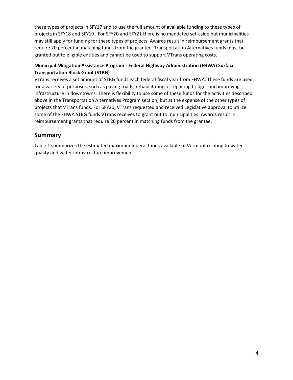these types of projects in SFY17 and to use the full amount of available funding to these types of projects in SFY18 and SFY19. For SFY20 and SFY21 there is no mandated set-aside but municipalities may still apply for funding for these types of projects. Awards result in reimbursement grants that require 20 percent in matching funds from the grantee. Transportation Alternatives funds must be granted out to eligible entities and cannot be used to support VTrans operating costs.

#### <span id="page-5-0"></span>**Municipal Mitigation Assistance Program - Federal Highway Administration (FHWA) Surface Transportation Block Grant (STBG)**

VTrans receives a set amount of STBG funds each federal fiscal year from FHWA. These funds are used for a variety of purposes, such as paving roads, rehabilitating or repairing bridges and improving infrastructure in downtowns. There is flexibility to use some of these funds for the activities described above in the Transportation Alternatives Program section, but at the expense of the other types of projects that VTrans funds. For SFY20, VTrans requested and received Legislative approval to utilize some of the FHWA STBG funds VTrans receives to grant out to municipalities. Awards result in reimbursement grants that require 20 percent in matching funds from the grantee.

### <span id="page-5-1"></span>**Summary**

Table 1 summarizes the estimated maximum federal funds available to Vermont relating to water quality and water infrastructure improvement.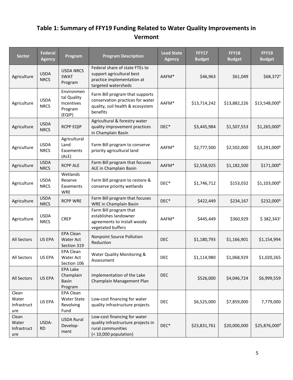## <span id="page-6-0"></span>**Table 1: Summary of FFY19 Funding Related to Water Quality Improvements in Vermont**

| <b>Sector</b>                        | <b>Federal</b><br><b>Agency</b> | Program                                                      | <b>Program Description</b>                                                                                          | <b>Lead State</b><br><b>Agency</b> | <b>FFY17</b><br><b>Budget</b> | <b>FFY18</b><br><b>Budget</b> | <b>FFY19</b><br><b>Budget</b> |
|--------------------------------------|---------------------------------|--------------------------------------------------------------|---------------------------------------------------------------------------------------------------------------------|------------------------------------|-------------------------------|-------------------------------|-------------------------------|
| Agriculture                          | <b>USDA</b><br><b>NRCS</b>      | <b>USDA NRCS</b><br>SWAT<br>Program                          | Federal share of state FTEs to<br>support agricultural best<br>practice implementation at<br>targeted watersheds    | AAFM*                              | \$46,963                      | \$61,049                      | $$68,372$ <sup>a</sup>        |
| Agriculture                          | <b>USDA</b><br><b>NRCS</b>      | Environmen<br>tal Quality<br>Incentives<br>Program<br>(EQIP) | Farm Bill program that supports<br>conservation practices for water<br>quality, soil health & ecosystem<br>benefits | AAFM*                              | \$13,714,242                  | \$13,882,226                  | \$13,548,000 <sup>b</sup>     |
| Agriculture                          | <b>USDA</b><br><b>NRCS</b>      | <b>RCPP EQIP</b>                                             | Agricultural & forestry water<br>quality improvement practices<br>in Champlain Basin                                | $DEC^*$                            | \$3,445,984                   | \$1,507,553                   | $$1,265,000^b$                |
| Agriculture                          | <b>USDA</b><br><b>NRCS</b>      | Agricultural<br>Land<br>Easements<br>(ALE)                   | Farm Bill program to conserve<br>priority agricultural land                                                         | AAFM <sup>*</sup>                  | \$2,777,500                   | \$2,502,000                   | \$3,291,000 <sup>b</sup>      |
| Agriculture                          | <b>USDA</b><br><b>NRCS</b>      | <b>RCPP ALE</b>                                              | Farm Bill program that focuses<br>ALE in Champlain Basin                                                            | AAFM*                              | \$2,558,925                   | \$1,182,500                   | $$171,000$ <sup>b</sup>       |
| Agriculture                          | <b>USDA</b><br><b>NRCS</b>      | Wetlands<br>Reserve<br>Easements<br>WRE                      | Farm Bill program to restore &<br>conserve priority wetlands                                                        | DEC*                               | \$1,746,712                   | \$153,032                     | $$1,103,000$ <sup>b</sup>     |
| Agriculture                          | <b>USDA</b><br><b>NRCS</b>      | <b>RCPP WRE</b>                                              | Farm Bill program that focuses<br>WRE in Champlain Basin                                                            | DEC*                               | \$422,449                     | \$234,167                     | \$232,000 <sup>b</sup>        |
| Agriculture                          | <b>USDA</b><br><b>NRCS</b>      | <b>CREP</b>                                                  | Farm Bill program that<br>establishes landowner<br>agreements to install woody<br>vegetated buffers                 | AAFM*                              | \$445,449                     | \$360,929                     | \$382,343°                    |
| All Sectors                          | US EPA                          | <b>EPA Clean</b><br>Water Act<br>Section 319                 | Nonpoint Source Pollution<br>Reduction                                                                              | <b>DEC</b>                         | \$1,180,793                   | \$1,166,901                   | \$1,154,994                   |
| All Sectors                          | US EPA                          | EPA Clean<br>Water Act<br>Section 106                        | Water Quality Monitoring &<br>Assessment                                                                            | <b>DEC</b>                         | \$1,114,980                   | \$1,068,929                   | \$1,020,265                   |
| <b>All Sectors</b>                   | US EPA                          | <b>EPA Lake</b><br>Champlain<br><b>Basin</b><br>Program      | Implementation of the Lake<br>Champlain Management Plan                                                             | <b>DEC</b>                         | \$526,000                     | \$4,046,724                   | \$6,999,559                   |
| Clean<br>Water<br>Infrastruct<br>ure | US EPA                          | EPA Clean<br><b>Water State</b><br>Revolving<br>Fund         | Low-cost financing for water<br>quality infrastructure projects                                                     | <b>DEC</b>                         | \$6,525,000                   | \$7,859,000                   | 7,779,000                     |
| Clean<br>Water<br>Infrastruct<br>ure | USDA-<br><b>RD</b>              | <b>USDA Rural</b><br>Develop-<br>ment                        | Low-cost financing for water<br>quality infrastructure projects in<br>rural communities<br>$(10,000 population)$    | $DEC^*$                            | \$23,831,761                  | \$20,000,000                  | \$25,876,000 <sup>d</sup>     |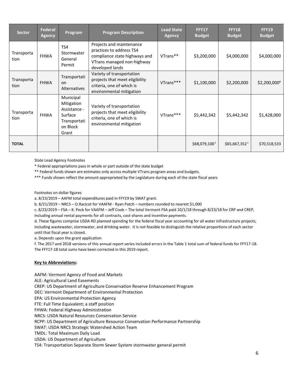| <b>Sector</b>      | <b>Federal</b><br><b>Agency</b> | Program                                                                                 | <b>Program Description</b>                                                                                                             | <b>Lead State</b><br><b>Agency</b> | <b>FFY17</b><br><b>Budget</b> | <b>FFY18</b><br><b>Budget</b> | <b>FFY19</b><br><b>Budget</b> |
|--------------------|---------------------------------|-----------------------------------------------------------------------------------------|----------------------------------------------------------------------------------------------------------------------------------------|------------------------------------|-------------------------------|-------------------------------|-------------------------------|
| Transporta<br>tion | <b>FHWA</b>                     | TS4<br>Stormwater<br>General<br>Permit                                                  | Projects and maintenance<br>practices to address TS4<br>compliance state highways and<br>VTrans managed non-highway<br>developed lands | VTrans**                           | \$3,200,000                   | \$4,000,000                   | \$4,000,000                   |
| Transporta<br>tion | <b>FHWA</b>                     | Transportati<br>on<br>Alternatives                                                      | Variety of transportation<br>projects that meet eligibility<br>criteria, one of which is<br>environmental mitigation                   | VTrans***                          | \$1,100,000                   | \$2,200,000                   | $$2,200,000$ <sup>e</sup>     |
| Transporta<br>tion | <b>FHWA</b>                     | Municipal<br>Mitigation<br>Assistance -<br>Surface<br>Transportati<br>on Block<br>Grant | Variety of transportation<br>projects that meet eligibility<br>criteria, one of which is<br>environmental mitigation                   | VTrans***                          | \$5,442,342                   | \$5,442,342                   | \$1,428,000                   |
| <b>TOTAL</b>       |                                 |                                                                                         |                                                                                                                                        |                                    | \$68,079,100f                 | $$65,667,352$ <sup>f</sup>    | \$70,518,533                  |

State Lead Agency Footnotes

\* Federal appropriations pass in whole or part outside of the state budget

\*\* Federal funds shown are estimates only across multiple VTrans program areas and budgets.

\*\*\* Funds shown reflect the amount appropriated by the Legislature during each of the state fiscal years

Footnotes on dollar figures

a. 8/23/2019 – AAFM total expenditures paid in FFY19 by SWAT grant.

b. 8/21/2019 – NRCS – O.Racicot for VAAFM - Ryan Patch – numbers rounded to nearest \$1,000

c. 8/23/2019 – FSA – K. Peck for VAAFM – Jeff Cook – The total Vermont FSA paid 10/1/18 through 8/23/18 for CRP and CREP, including annual rental payments for all contracts, cost-shares and incentive payments.

d. These figures comprise USDA RD planned spending for the federal fiscal year accounting for all water infrastructure projects, including wastewater, stormwater, and drinking water. It is not feasible to distinguish the relative proportions of each sector until that fiscal year is closed.

e. Depends upon the grant application

f. The 2017 and 2018 versions of this annual report series included errors in the Table 1 total sum of federal funds for FFY17-18. The FFY17-18 total sums have been corrected in this 2019 report.

#### **Key to Abbreviations:**

AAFM: Vermont Agency of Food and Markets ALE: Agricultural Land Easements CREP: US Department of Agriculture Conservation Reserve Enhancement Program DEC: Vermont Department of Environmental Protection EPA: US Environmental Protection Agency FTE: Full Time Equivalent; a staff position FHWA: Federal Highway Administration NRCS: USDA Natural Resources Conservation Service RCPP: US Department of Agriculture Resource Conservation Performance Partnership SWAT: USDA NRCS Strategic Watershed Action Team TMDL: Total Maximum Daily Load USDA: US Department of Agriculture TS4: Transportation Separate Storm Sewer System stormwater general permit